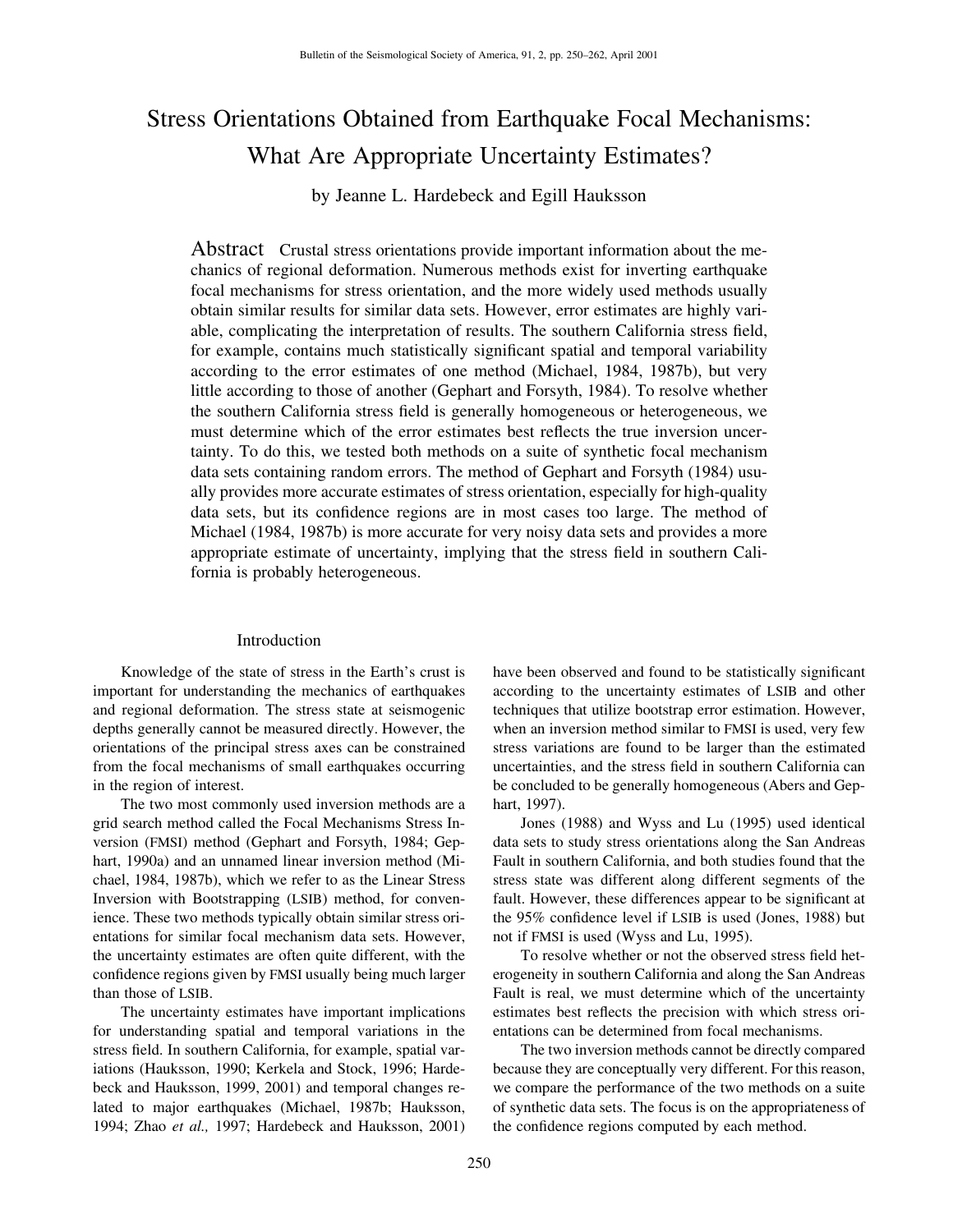# Stress Orientations Obtained from Earthquake Focal Mechanisms: What Are Appropriate Uncertainty Estimates?

by Jeanne L. Hardebeck and Egill Hauksson

Abstract Crustal stress orientations provide important information about the mechanics of regional deformation. Numerous methods exist for inverting earthquake focal mechanisms for stress orientation, and the more widely used methods usually obtain similar results for similar data sets. However, error estimates are highly variable, complicating the interpretation of results. The southern California stress field, for example, contains much statistically significant spatial and temporal variability according to the error estimates of one method (Michael, 1984, 1987b), but very little according to those of another (Gephart and Forsyth, 1984). To resolve whether the southern California stress field is generally homogeneous or heterogeneous, we must determine which of the error estimates best reflects the true inversion uncertainty. To do this, we tested both methods on a suite of synthetic focal mechanism data sets containing random errors. The method of Gephart and Forsyth (1984) usually provides more accurate estimates of stress orientation, especially for high-quality data sets, but its confidence regions are in most cases too large. The method of Michael (1984, 1987b) is more accurate for very noisy data sets and provides a more appropriate estimate of uncertainty, implying that the stress field in southern California is probably heterogeneous.

## Introduction

Knowledge of the state of stress in the Earth's crust is important for understanding the mechanics of earthquakes and regional deformation. The stress state at seismogenic depths generally cannot be measured directly. However, the orientations of the principal stress axes can be constrained from the focal mechanisms of small earthquakes occurring in the region of interest.

The two most commonly used inversion methods are a grid search method called the Focal Mechanisms Stress Inversion (FMSI) method (Gephart and Forsyth, 1984; Gephart, 1990a) and an unnamed linear inversion method (Michael, 1984, 1987b), which we refer to as the Linear Stress Inversion with Bootstrapping (LSIB) method, for convenience. These two methods typically obtain similar stress orientations for similar focal mechanism data sets. However, the uncertainty estimates are often quite different, with the confidence regions given by FMSI usually being much larger than those of LSIB.

The uncertainty estimates have important implications for understanding spatial and temporal variations in the stress field. In southern California, for example, spatial variations (Hauksson, 1990; Kerkela and Stock, 1996; Hardebeck and Hauksson, 1999, 2001) and temporal changes related to major earthquakes (Michael, 1987b; Hauksson, 1994; Zhao *et al.,* 1997; Hardebeck and Hauksson, 2001) have been observed and found to be statistically significant according to the uncertainty estimates of LSIB and other techniques that utilize bootstrap error estimation. However, when an inversion method similar to FMSI is used, very few stress variations are found to be larger than the estimated uncertainties, and the stress field in southern California can be concluded to be generally homogeneous (Abers and Gephart, 1997).

Jones (1988) and Wyss and Lu (1995) used identical data sets to study stress orientations along the San Andreas Fault in southern California, and both studies found that the stress state was different along different segments of the fault. However, these differences appear to be significant at the 95% confidence level if LSIB is used (Jones, 1988) but not if FMSI is used (Wyss and Lu, 1995).

To resolve whether or not the observed stress field heterogeneity in southern California and along the San Andreas Fault is real, we must determine which of the uncertainty estimates best reflects the precision with which stress orientations can be determined from focal mechanisms.

The two inversion methods cannot be directly compared because they are conceptually very different. For this reason, we compare the performance of the two methods on a suite of synthetic data sets. The focus is on the appropriateness of the confidence regions computed by each method.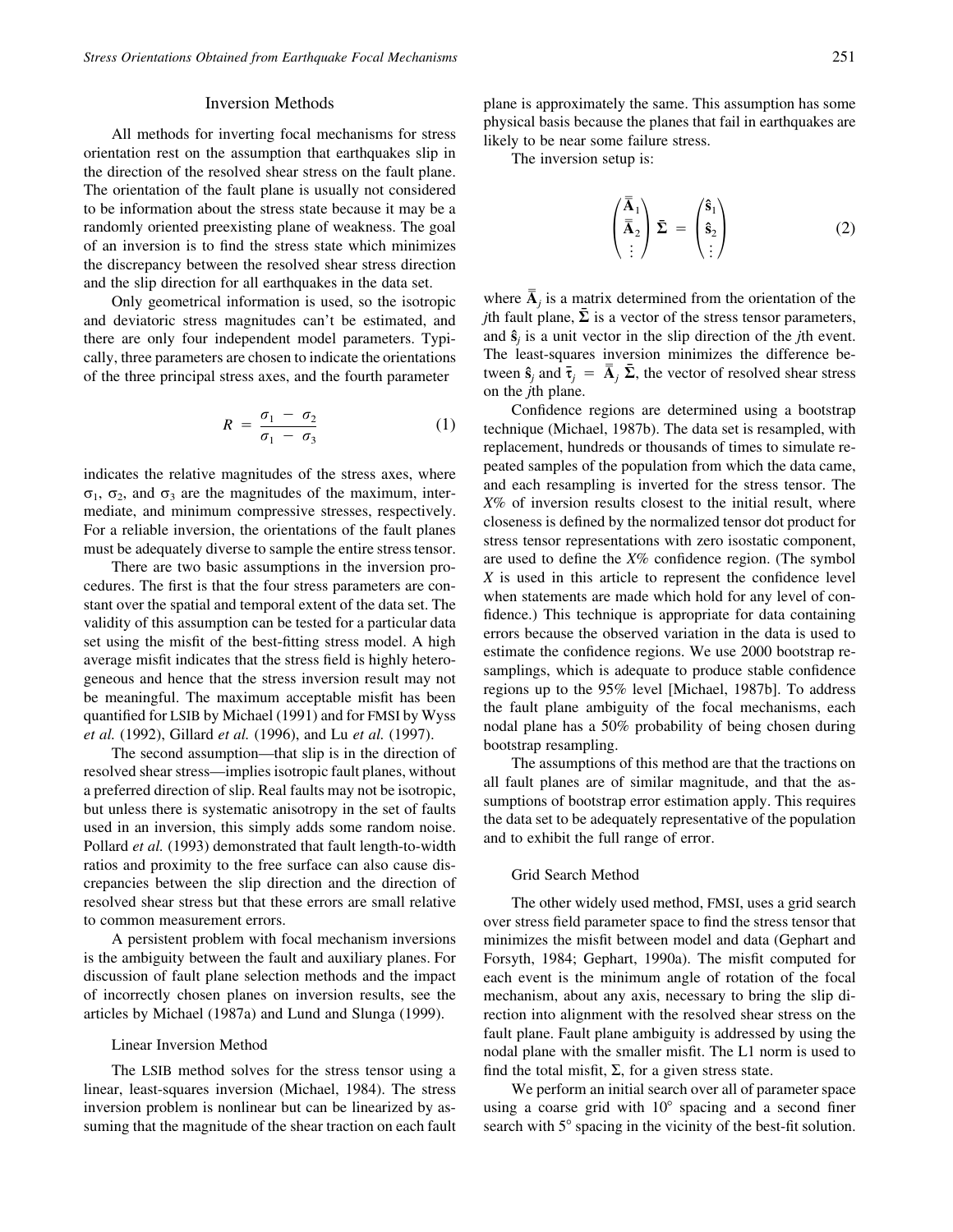## Inversion Methods

All methods for inverting focal mechanisms for stress orientation rest on the assumption that earthquakes slip in the direction of the resolved shear stress on the fault plane. The orientation of the fault plane is usually not considered to be information about the stress state because it may be a randomly oriented preexisting plane of weakness. The goal of an inversion is to find the stress state which minimizes the discrepancy between the resolved shear stress direction and the slip direction for all earthquakes in the data set.

Only geometrical information is used, so the isotropic and deviatoric stress magnitudes can't be estimated, and there are only four independent model parameters. Typically, three parameters are chosen to indicate the orientations of the three principal stress axes, and the fourth parameter

$$
R = \frac{\sigma_1 - \sigma_2}{\sigma_1 - \sigma_3} \tag{1}
$$

indicates the relative magnitudes of the stress axes, where  $\sigma_1$ ,  $\sigma_2$ , and  $\sigma_3$  are the magnitudes of the maximum, intermediate, and minimum compressive stresses, respectively. For a reliable inversion, the orientations of the fault planes must be adequately diverse to sample the entire stress tensor.

There are two basic assumptions in the inversion procedures. The first is that the four stress parameters are constant over the spatial and temporal extent of the data set. The validity of this assumption can be tested for a particular data set using the misfit of the best-fitting stress model. A high average misfit indicates that the stress field is highly heterogeneous and hence that the stress inversion result may not be meaningful. The maximum acceptable misfit has been quantified for LSIB by Michael (1991) and for FMSI by Wyss *et al.* (1992), Gillard *et al.* (1996), and Lu *et al.* (1997).

The second assumption—that slip is in the direction of resolved shear stress—implies isotropic fault planes, without a preferred direction of slip. Real faults may not be isotropic, but unless there is systematic anisotropy in the set of faults used in an inversion, this simply adds some random noise. Pollard *et al.* (1993) demonstrated that fault length-to-width ratios and proximity to the free surface can also cause discrepancies between the slip direction and the direction of resolved shear stress but that these errors are small relative to common measurement errors.

A persistent problem with focal mechanism inversions is the ambiguity between the fault and auxiliary planes. For discussion of fault plane selection methods and the impact of incorrectly chosen planes on inversion results, see the articles by Michael (1987a) and Lund and Slunga (1999).

#### Linear Inversion Method

The LSIB method solves for the stress tensor using a linear, least-squares inversion (Michael, 1984). The stress inversion problem is nonlinear but can be linearized by assuming that the magnitude of the shear traction on each fault plane is approximately the same. This assumption has some physical basis because the planes that fail in earthquakes are likely to be near some failure stress.

The inversion setup is:

$$
\begin{pmatrix} \overline{\mathbf{A}}_1 \\ \overline{\mathbf{A}}_2 \\ \vdots \end{pmatrix} \overline{\mathbf{\Sigma}} = \begin{pmatrix} \hat{\mathbf{s}}_1 \\ \hat{\mathbf{s}}_2 \\ \vdots \end{pmatrix}
$$
 (2)

where  $\overline{A}_j$  is a matrix determined from the orientation of the *j*th fault plane,  $\bar{\Sigma}$  is a vector of the stress tensor parameters, and **sˆ***<sup>j</sup>* is a unit vector in the slip direction of the *j*th event. The least-squares inversion minimizes the difference between  $\hat{\mathbf{s}}_j$  and  $\bar{\mathbf{t}}_j = \bar{\mathbf{A}}_j \bar{\mathbf{\Sigma}}$ , the vector of resolved shear stress on the *j*th plane.

Confidence regions are determined using a bootstrap technique (Michael, 1987b). The data set is resampled, with replacement, hundreds or thousands of times to simulate repeated samples of the population from which the data came, and each resampling is inverted for the stress tensor. The *X*% of inversion results closest to the initial result, where closeness is defined by the normalized tensor dot product for stress tensor representations with zero isostatic component, are used to define the *X*% confidence region. (The symbol *X* is used in this article to represent the confidence level when statements are made which hold for any level of confidence.) This technique is appropriate for data containing errors because the observed variation in the data is used to estimate the confidence regions. We use 2000 bootstrap resamplings, which is adequate to produce stable confidence regions up to the 95% level [Michael, 1987b]. To address the fault plane ambiguity of the focal mechanisms, each nodal plane has a 50% probability of being chosen during bootstrap resampling.

The assumptions of this method are that the tractions on all fault planes are of similar magnitude, and that the assumptions of bootstrap error estimation apply. This requires the data set to be adequately representative of the population and to exhibit the full range of error.

## Grid Search Method

The other widely used method, FMSI, uses a grid search over stress field parameter space to find the stress tensor that minimizes the misfit between model and data (Gephart and Forsyth, 1984; Gephart, 1990a). The misfit computed for each event is the minimum angle of rotation of the focal mechanism, about any axis, necessary to bring the slip direction into alignment with the resolved shear stress on the fault plane. Fault plane ambiguity is addressed by using the nodal plane with the smaller misfit. The L1 norm is used to find the total misfit,  $\Sigma$ , for a given stress state.

We perform an initial search over all of parameter space using a coarse grid with  $10^{\circ}$  spacing and a second finer search with  $5^\circ$  spacing in the vicinity of the best-fit solution.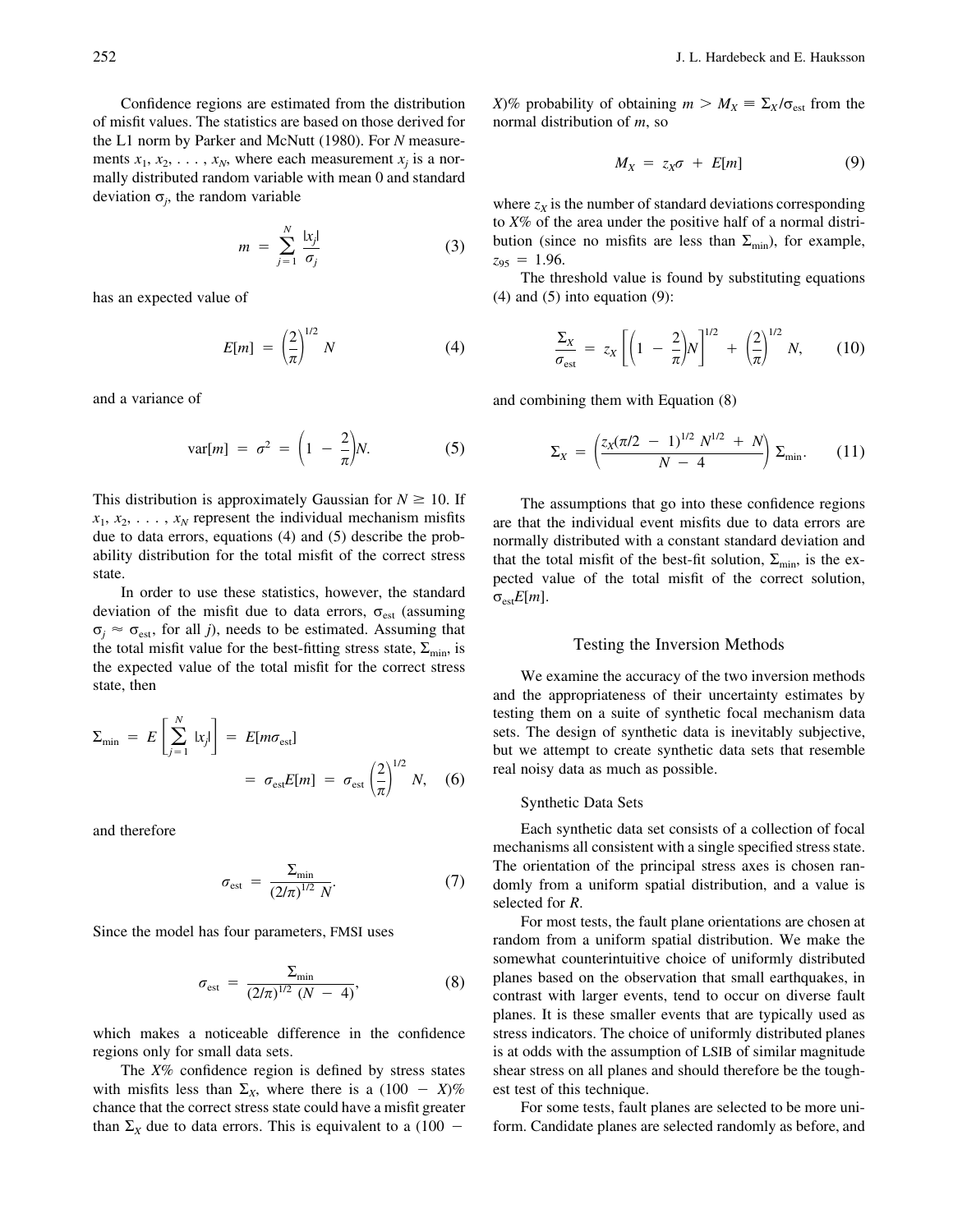Confidence regions are estimated from the distribution of misfit values. The statistics are based on those derived for the L1 norm by Parker and McNutt (1980). For *N* measurements  $x_1, x_2, \ldots, x_N$ , where each measurement  $x_i$  is a normally distributed random variable with mean 0 and standard deviation  $\sigma_j$ , the random variable

$$
m = \sum_{j=1}^{N} \frac{|x_j|}{\sigma_j} \tag{3}
$$

has an expected value of

$$
E[m] = \left(\frac{2}{\pi}\right)^{1/2} N \tag{4}
$$

and a variance of

$$
\text{var}[m] = \sigma^2 = \left(1 - \frac{2}{\pi}\right)N. \tag{5}
$$

This distribution is approximately Gaussian for  $N \geq 10$ . If  $x_1, x_2, \ldots, x_N$  represent the individual mechanism misfits due to data errors, equations (4) and (5) describe the probability distribution for the total misfit of the correct stress state.

In order to use these statistics, however, the standard deviation of the misfit due to data errors,  $\sigma_{est}$  (assuming  $\sigma_j \approx \sigma_{est}$ , for all *j*), needs to be estimated. Assuming that the total misfit value for the best-fitting stress state,  $\Sigma_{\text{min}}$ , is the expected value of the total misfit for the correct stress state, then

$$
\Sigma_{\min} = E\left[\sum_{j=1}^{N} |x_{j}| \right] = E[m\sigma_{\text{est}}]
$$

$$
= \sigma_{\text{est}} E[m] = \sigma_{\text{est}} \left(\frac{2}{\pi}\right)^{1/2} N, \quad (6)
$$

and therefore

$$
\sigma_{\text{est}} = \frac{\Sigma_{\text{min}}}{\left(2/\pi\right)^{1/2} N}.
$$
\n(7)

Since the model has four parameters, FMSI uses

$$
\sigma_{\text{est}} = \frac{\Sigma_{\min}}{(2/\pi)^{1/2} (N - 4)},
$$
\n(8)

which makes a noticeable difference in the confidence regions only for small data sets.

The *X*% confidence region is defined by stress states with misfits less than  $\Sigma_X$ , where there is a (100 - X)% chance that the correct stress state could have a misfit greater than  $\Sigma_X$  due to data errors. This is equivalent to a (100 –

*X*)% probability of obtaining  $m > M_X \equiv \Sigma_X / \sigma_{est}$  from the normal distribution of *m*, so

$$
M_X = z_X \sigma + E[m] \tag{9}
$$

where  $z_x$  is the number of standard deviations corresponding to *X*% of the area under the positive half of a normal distribution (since no misfits are less than  $\Sigma_{\rm min}$ ), for example,  $z_{95} = 1.96$ .

The threshold value is found by substituting equations  $(4)$  and  $(5)$  into equation  $(9)$ :

$$
\frac{\Sigma_X}{\sigma_{\text{est}}} = z_X \left[ \left( 1 - \frac{2}{\pi} \right) N \right]^{1/2} + \left( \frac{2}{\pi} \right)^{1/2} N, \qquad (10)
$$

and combining them with Equation (8)

$$
\Sigma_X = \left(\frac{z_X(\pi/2 - 1)^{1/2} N^{1/2} + N}{N - 4}\right) \Sigma_{\min}.
$$
 (11)

The assumptions that go into these confidence regions are that the individual event misfits due to data errors are normally distributed with a constant standard deviation and that the total misfit of the best-fit solution,  $\Sigma_{\text{min}}$ , is the expected value of the total misfit of the correct solution,  $\sigma_{est}E[m]$ .

#### Testing the Inversion Methods

We examine the accuracy of the two inversion methods and the appropriateness of their uncertainty estimates by testing them on a suite of synthetic focal mechanism data sets. The design of synthetic data is inevitably subjective, but we attempt to create synthetic data sets that resemble real noisy data as much as possible.

## Synthetic Data Sets

Each synthetic data set consists of a collection of focal mechanisms all consistent with a single specified stress state. The orientation of the principal stress axes is chosen randomly from a uniform spatial distribution, and a value is selected for *R*.

For most tests, the fault plane orientations are chosen at random from a uniform spatial distribution. We make the somewhat counterintuitive choice of uniformly distributed planes based on the observation that small earthquakes, in contrast with larger events, tend to occur on diverse fault planes. It is these smaller events that are typically used as stress indicators. The choice of uniformly distributed planes is at odds with the assumption of LSIB of similar magnitude shear stress on all planes and should therefore be the toughest test of this technique.

For some tests, fault planes are selected to be more uniform. Candidate planes are selected randomly as before, and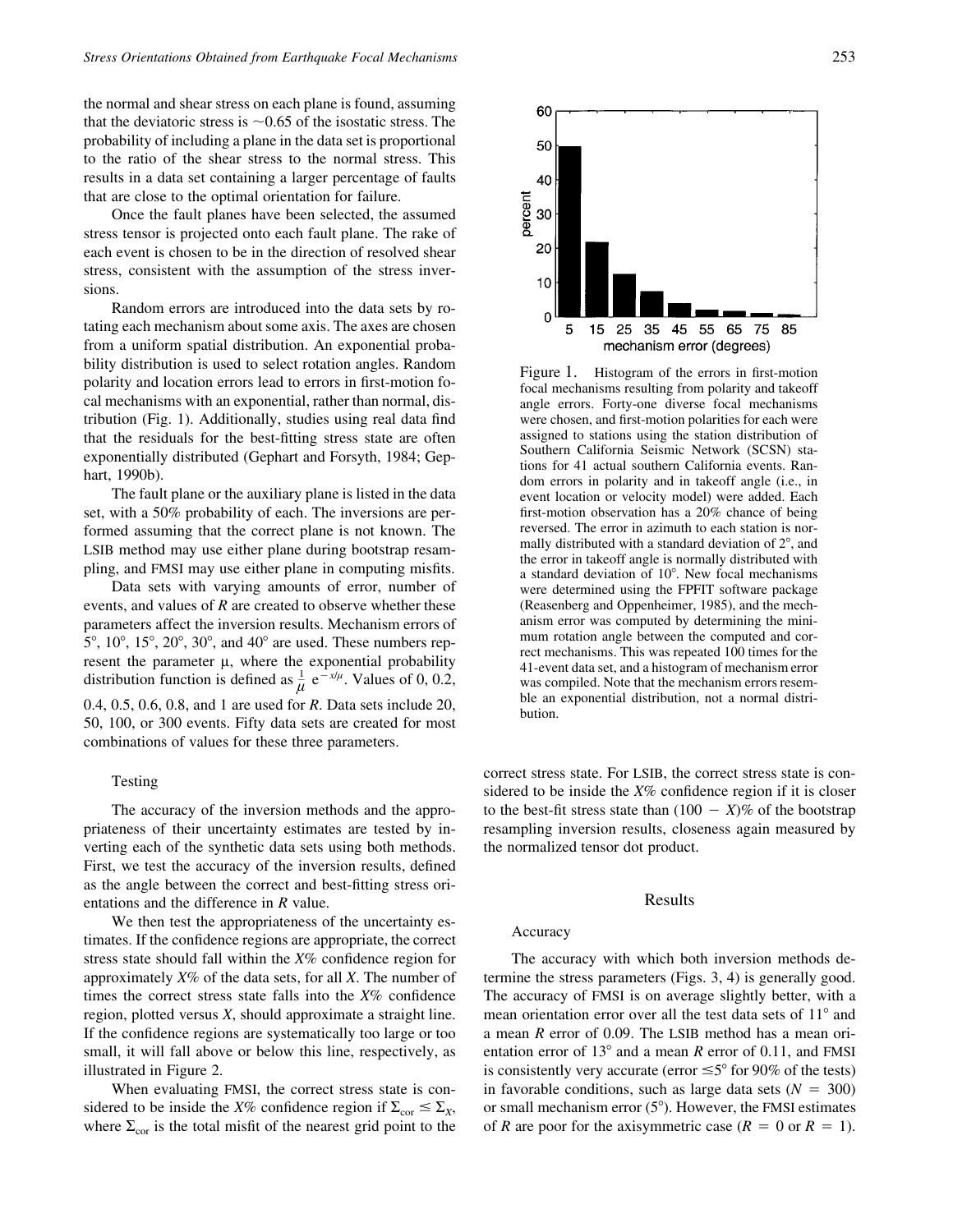the normal and shear stress on each plane is found, assuming that the deviatoric stress is  $\sim 0.65$  of the isostatic stress. The probability of including a plane in the data set is proportional to the ratio of the shear stress to the normal stress. This results in a data set containing a larger percentage of faults that are close to the optimal orientation for failure.

Once the fault planes have been selected, the assumed stress tensor is projected onto each fault plane. The rake of each event is chosen to be in the direction of resolved shear stress, consistent with the assumption of the stress inversions.

Random errors are introduced into the data sets by rotating each mechanism about some axis. The axes are chosen from a uniform spatial distribution. An exponential probability distribution is used to select rotation angles. Random polarity and location errors lead to errors in first-motion focal mechanisms with an exponential, rather than normal, distribution (Fig. 1). Additionally, studies using real data find that the residuals for the best-fitting stress state are often exponentially distributed (Gephart and Forsyth, 1984; Gephart, 1990b).

The fault plane or the auxiliary plane is listed in the data set, with a 50% probability of each. The inversions are performed assuming that the correct plane is not known. The LSIB method may use either plane during bootstrap resampling, and FMSI may use either plane in computing misfits.

Data sets with varying amounts of error, number of events, and values of *R* are created to observe whether these parameters affect the inversion results. Mechanism errors of  $5^\circ$ ,  $10^\circ$ ,  $15^\circ$ ,  $20^\circ$ ,  $30^\circ$ , and  $40^\circ$  are used. These numbers represent the parameter  $\mu$ , where the exponential probability distribution function is defined as  $\frac{1}{\mu} e^{-x/\mu}$ . Values of 0, 0.2, 0.4, 0.5, 0.6, 0.8, and 1 are used for *R*. Data sets include 20, 50, 100, or 300 events. Fifty data sets are created for most combinations of values for these three parameters.

#### Testing

The accuracy of the inversion methods and the appropriateness of their uncertainty estimates are tested by inverting each of the synthetic data sets using both methods. First, we test the accuracy of the inversion results, defined as the angle between the correct and best-fitting stress orientations and the difference in *R* value.

We then test the appropriateness of the uncertainty estimates. If the confidence regions are appropriate, the correct stress state should fall within the *X*% confidence region for approximately *X*% of the data sets, for all *X*. The number of times the correct stress state falls into the *X*% confidence region, plotted versus *X*, should approximate a straight line. If the confidence regions are systematically too large or too small, it will fall above or below this line, respectively, as illustrated in Figure 2.

When evaluating FMSI, the correct stress state is considered to be inside the *X%* confidence region if  $\Sigma_{\text{cor}} \leq \Sigma_{\text{X}}$ , where  $\Sigma_{\rm cor}$  is the total misfit of the nearest grid point to the



Figure 1. Histogram of the errors in first-motion focal mechanisms resulting from polarity and takeoff angle errors. Forty-one diverse focal mechanisms were chosen, and first-motion polarities for each were assigned to stations using the station distribution of Southern California Seismic Network (SCSN) stations for 41 actual southern California events. Random errors in polarity and in takeoff angle (i.e., in event location or velocity model) were added. Each first-motion observation has a 20% chance of being reversed. The error in azimuth to each station is normally distributed with a standard deviation of  $2^{\circ}$ , and the error in takeoff angle is normally distributed with a standard deviation of 10°. New focal mechanisms were determined using the FPFIT software package (Reasenberg and Oppenheimer, 1985), and the mechanism error was computed by determining the minimum rotation angle between the computed and correct mechanisms. This was repeated 100 times for the 41-event data set, and a histogram of mechanism error was compiled. Note that the mechanism errors resemble an exponential distribution, not a normal distribution.

correct stress state. For LSIB, the correct stress state is considered to be inside the *X*% confidence region if it is closer to the best-fit stress state than  $(100 - X)\%$  of the bootstrap resampling inversion results, closeness again measured by the normalized tensor dot product.

## Results

## Accuracy

The accuracy with which both inversion methods determine the stress parameters (Figs. 3, 4) is generally good. The accuracy of FMSI is on average slightly better, with a mean orientation error over all the test data sets of  $11^{\circ}$  and a mean *R* error of 0.09. The LSIB method has a mean orientation error of  $13^{\circ}$  and a mean *R* error of 0.11, and FMSI is consistently very accurate (error  $\leq 5^{\circ}$  for 90% of the tests) in favorable conditions, such as large data sets  $(N = 300)$ or small mechanism error  $(5^{\circ})$ . However, the FMSI estimates of *R* are poor for the axisymmetric case ( $R = 0$  or  $R = 1$ ).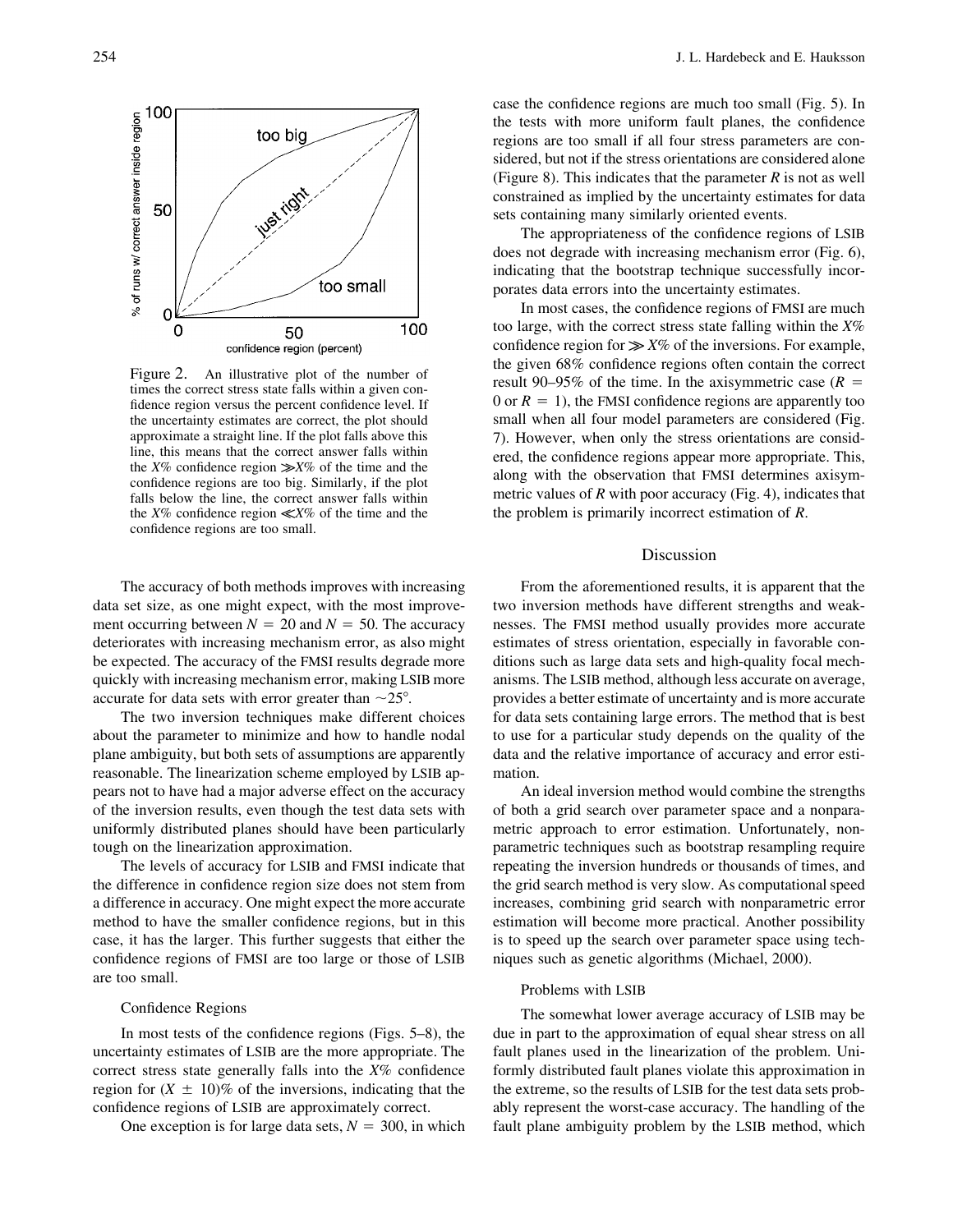

Figure 2. An illustrative plot of the number of times the correct stress state falls within a given confidence region versus the percent confidence level. If the uncertainty estimates are correct, the plot should approximate a straight line. If the plot falls above this line, this means that the correct answer falls within the  $X\%$  confidence region  $\gg X\%$  of the time and the confidence regions are too big. Similarly, if the plot falls below the line, the correct answer falls within the  $X\%$  confidence region  $\ll X\%$  of the time and the confidence regions are too small.

The accuracy of both methods improves with increasing data set size, as one might expect, with the most improvement occurring between  $N = 20$  and  $N = 50$ . The accuracy deteriorates with increasing mechanism error, as also might be expected. The accuracy of the FMSI results degrade more quickly with increasing mechanism error, making LSIB more accurate for data sets with error greater than  $\sim$ 25°.

The two inversion techniques make different choices about the parameter to minimize and how to handle nodal plane ambiguity, but both sets of assumptions are apparently reasonable. The linearization scheme employed by LSIB appears not to have had a major adverse effect on the accuracy of the inversion results, even though the test data sets with uniformly distributed planes should have been particularly tough on the linearization approximation.

The levels of accuracy for LSIB and FMSI indicate that the difference in confidence region size does not stem from a difference in accuracy. One might expect the more accurate method to have the smaller confidence regions, but in this case, it has the larger. This further suggests that either the confidence regions of FMSI are too large or those of LSIB are too small.

## Confidence Regions

In most tests of the confidence regions (Figs. 5–8), the uncertainty estimates of LSIB are the more appropriate. The correct stress state generally falls into the *X*% confidence region for  $(X \pm 10)\%$  of the inversions, indicating that the confidence regions of LSIB are approximately correct.

One exception is for large data sets,  $N = 300$ , in which

case the confidence regions are much too small (Fig. 5). In the tests with more uniform fault planes, the confidence regions are too small if all four stress parameters are considered, but not if the stress orientations are considered alone (Figure 8). This indicates that the parameter *R* is not as well constrained as implied by the uncertainty estimates for data sets containing many similarly oriented events.

The appropriateness of the confidence regions of LSIB does not degrade with increasing mechanism error (Fig. 6), indicating that the bootstrap technique successfully incorporates data errors into the uncertainty estimates.

In most cases, the confidence regions of FMSI are much too large, with the correct stress state falling within the *X*% confidence region for  $\gg X\%$  of the inversions. For example, the given 68% confidence regions often contain the correct result 90–95% of the time. In the axisymmetric case  $(R =$ 0 or  $R = 1$ ), the FMSI confidence regions are apparently too small when all four model parameters are considered (Fig. 7). However, when only the stress orientations are considered, the confidence regions appear more appropriate. This, along with the observation that FMSI determines axisymmetric values of *R* with poor accuracy (Fig. 4), indicates that the problem is primarily incorrect estimation of *R*.

# Discussion

From the aforementioned results, it is apparent that the two inversion methods have different strengths and weaknesses. The FMSI method usually provides more accurate estimates of stress orientation, especially in favorable conditions such as large data sets and high-quality focal mechanisms. The LSIB method, although less accurate on average, provides a better estimate of uncertainty and is more accurate for data sets containing large errors. The method that is best to use for a particular study depends on the quality of the data and the relative importance of accuracy and error estimation.

An ideal inversion method would combine the strengths of both a grid search over parameter space and a nonparametric approach to error estimation. Unfortunately, nonparametric techniques such as bootstrap resampling require repeating the inversion hundreds or thousands of times, and the grid search method is very slow. As computational speed increases, combining grid search with nonparametric error estimation will become more practical. Another possibility is to speed up the search over parameter space using techniques such as genetic algorithms (Michael, 2000).

## Problems with LSIB

The somewhat lower average accuracy of LSIB may be due in part to the approximation of equal shear stress on all fault planes used in the linearization of the problem. Uniformly distributed fault planes violate this approximation in the extreme, so the results of LSIB for the test data sets probably represent the worst-case accuracy. The handling of the fault plane ambiguity problem by the LSIB method, which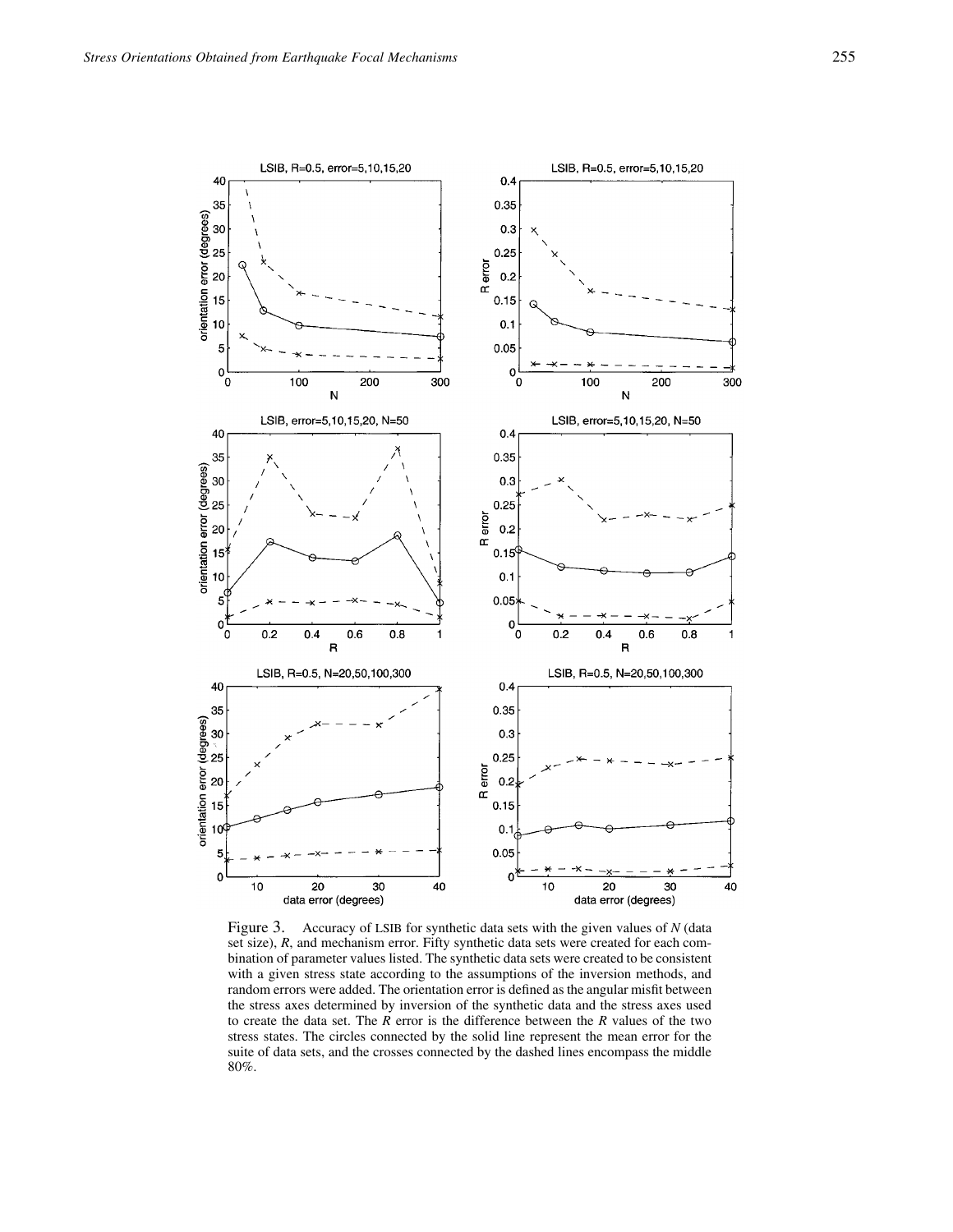

Figure 3. Accuracy of LSIB for synthetic data sets with the given values of *N* (data set size), *R*, and mechanism error. Fifty synthetic data sets were created for each combination of parameter values listed. The synthetic data sets were created to be consistent with a given stress state according to the assumptions of the inversion methods, and random errors were added. The orientation error is defined as the angular misfit between the stress axes determined by inversion of the synthetic data and the stress axes used to create the data set. The *R* error is the difference between the *R* values of the two stress states. The circles connected by the solid line represent the mean error for the suite of data sets, and the crosses connected by the dashed lines encompass the middle 80%.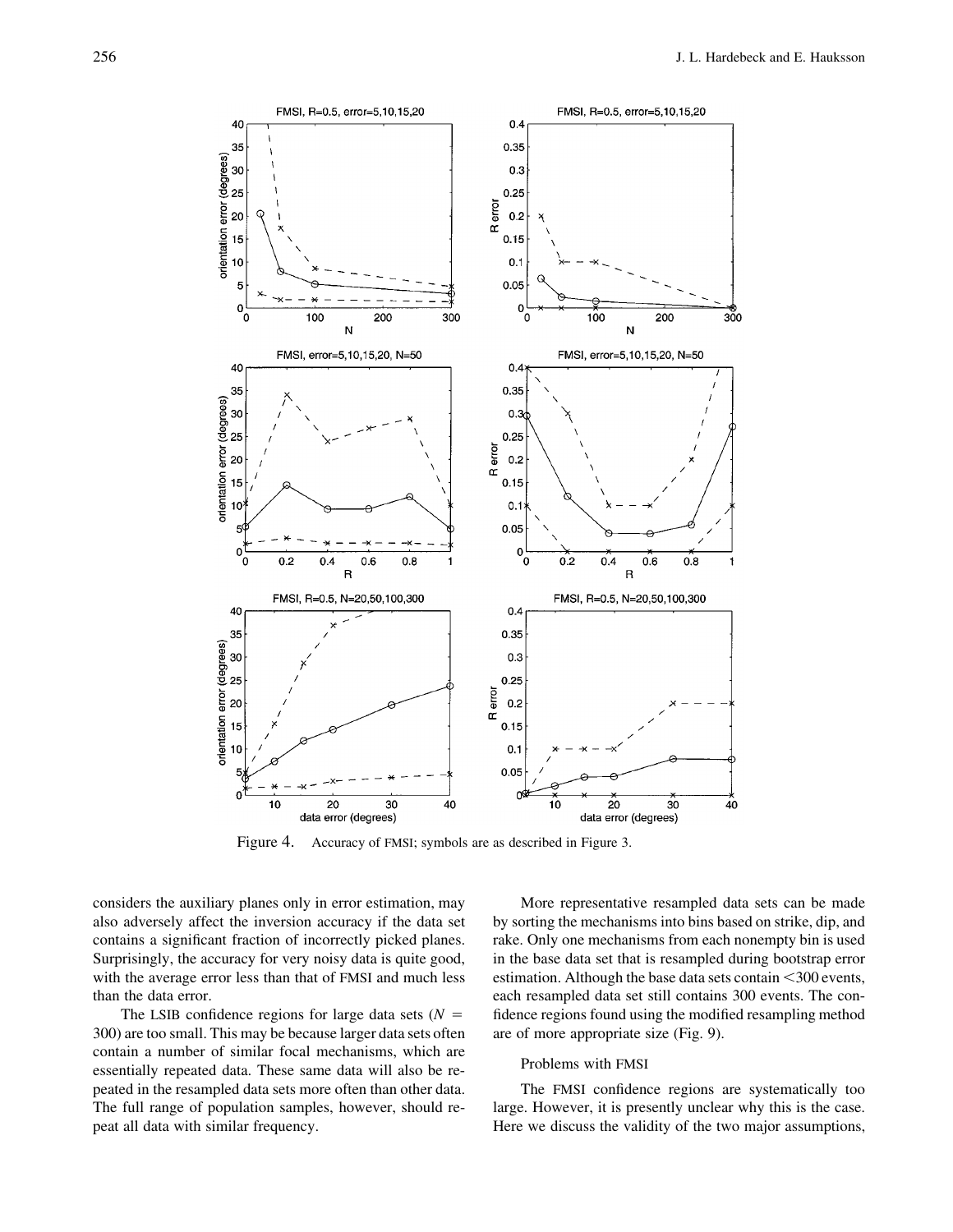

Figure 4. Accuracy of FMSI; symbols are as described in Figure 3.

considers the auxiliary planes only in error estimation, may also adversely affect the inversion accuracy if the data set contains a significant fraction of incorrectly picked planes. Surprisingly, the accuracy for very noisy data is quite good, with the average error less than that of FMSI and much less than the data error.

The LSIB confidence regions for large data sets  $(N =$ 300) are too small. This may be because larger data sets often contain a number of similar focal mechanisms, which are essentially repeated data. These same data will also be repeated in the resampled data sets more often than other data. The full range of population samples, however, should repeat all data with similar frequency.

More representative resampled data sets can be made by sorting the mechanisms into bins based on strike, dip, and rake. Only one mechanisms from each nonempty bin is used in the base data set that is resampled during bootstrap error estimation. Although the base data sets contain  $\leq 300$  events, each resampled data set still contains 300 events. The confidence regions found using the modified resampling method are of more appropriate size (Fig. 9).

#### Problems with FMSI

The FMSI confidence regions are systematically too large. However, it is presently unclear why this is the case. Here we discuss the validity of the two major assumptions,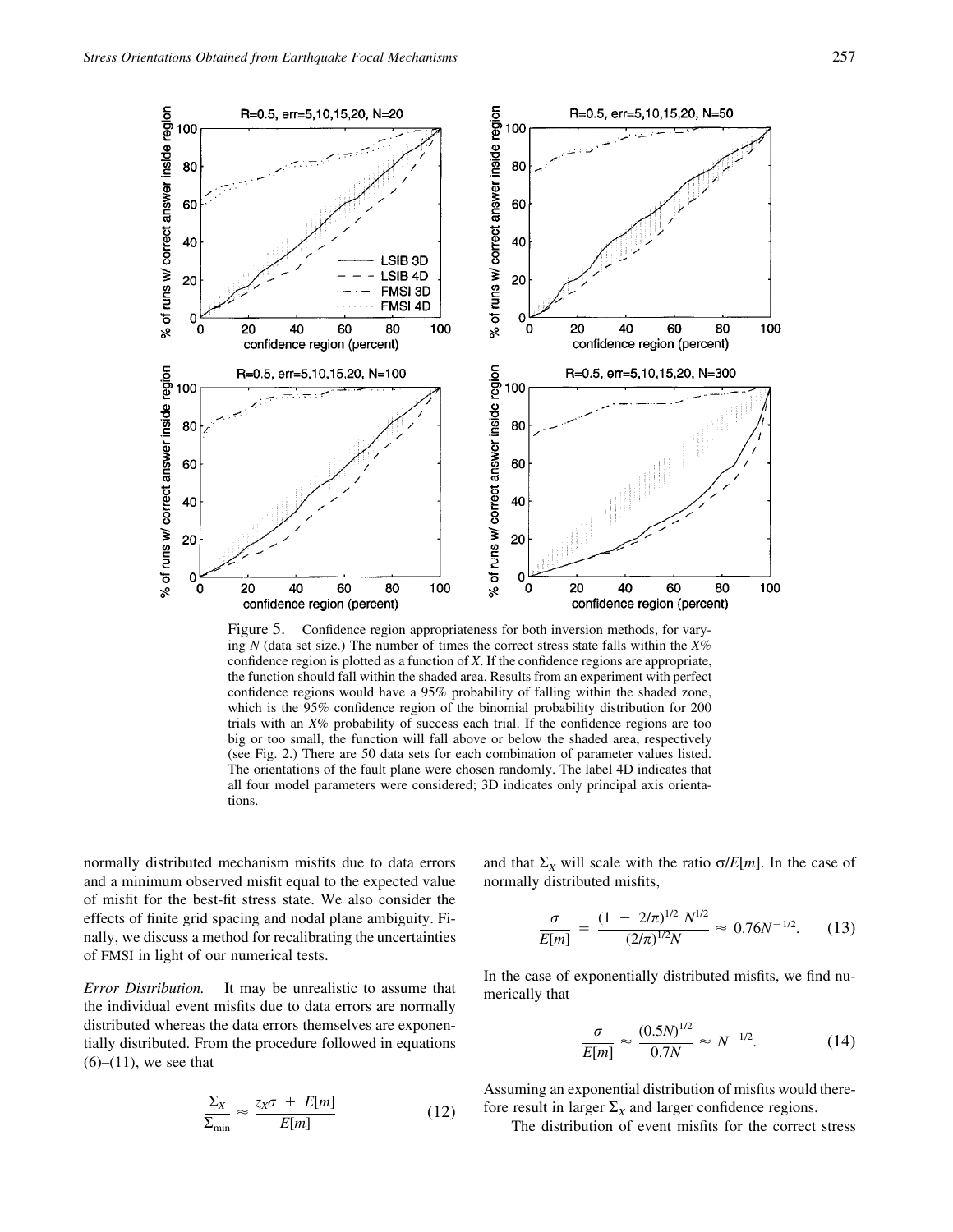

Figure 5. Confidence region appropriateness for both inversion methods, for varying *N* (data set size.) The number of times the correct stress state falls within the *X*% confidence region is plotted as a function of *X*. If the confidence regions are appropriate, the function should fall within the shaded area. Results from an experiment with perfect confidence regions would have a 95% probability of falling within the shaded zone, which is the 95% confidence region of the binomial probability distribution for 200 trials with an *X*% probability of success each trial. If the confidence regions are too big or too small, the function will fall above or below the shaded area, respectively (see Fig. 2.) There are 50 data sets for each combination of parameter values listed. The orientations of the fault plane were chosen randomly. The label 4D indicates that all four model parameters were considered; 3D indicates only principal axis orientations.

normally distributed mechanism misfits due to data errors and a minimum observed misfit equal to the expected value of misfit for the best-fit stress state. We also consider the effects of finite grid spacing and nodal plane ambiguity. Finally, we discuss a method for recalibrating the uncertainties of FMSI in light of our numerical tests.

*Error Distribution.* It may be unrealistic to assume that the individual event misfits due to data errors are normally distributed whereas the data errors themselves are exponentially distributed. From the procedure followed in equations  $(6)$ – $(11)$ , we see that

$$
\frac{\Sigma_X}{\Sigma_{\min}} \approx \frac{z_X \sigma + E[m]}{E[m]}
$$
 (12)

and that  $\Sigma_X$  will scale with the ratio  $\sigma/E[m]$ . In the case of normally distributed misfits,

$$
\frac{\sigma}{E[m]} = \frac{(1 - 2/\pi)^{1/2} N^{1/2}}{(2/\pi)^{1/2} N} \approx 0.76 N^{-1/2}.
$$
 (13)

In the case of exponentially distributed misfits, we find numerically that

$$
\frac{\sigma}{E[m]} \approx \frac{(0.5N)^{1/2}}{0.7N} \approx N^{-1/2}.
$$
 (14)

Assuming an exponential distribution of misfits would therefore result in larger  $\Sigma_X$  and larger confidence regions.

The distribution of event misfits for the correct stress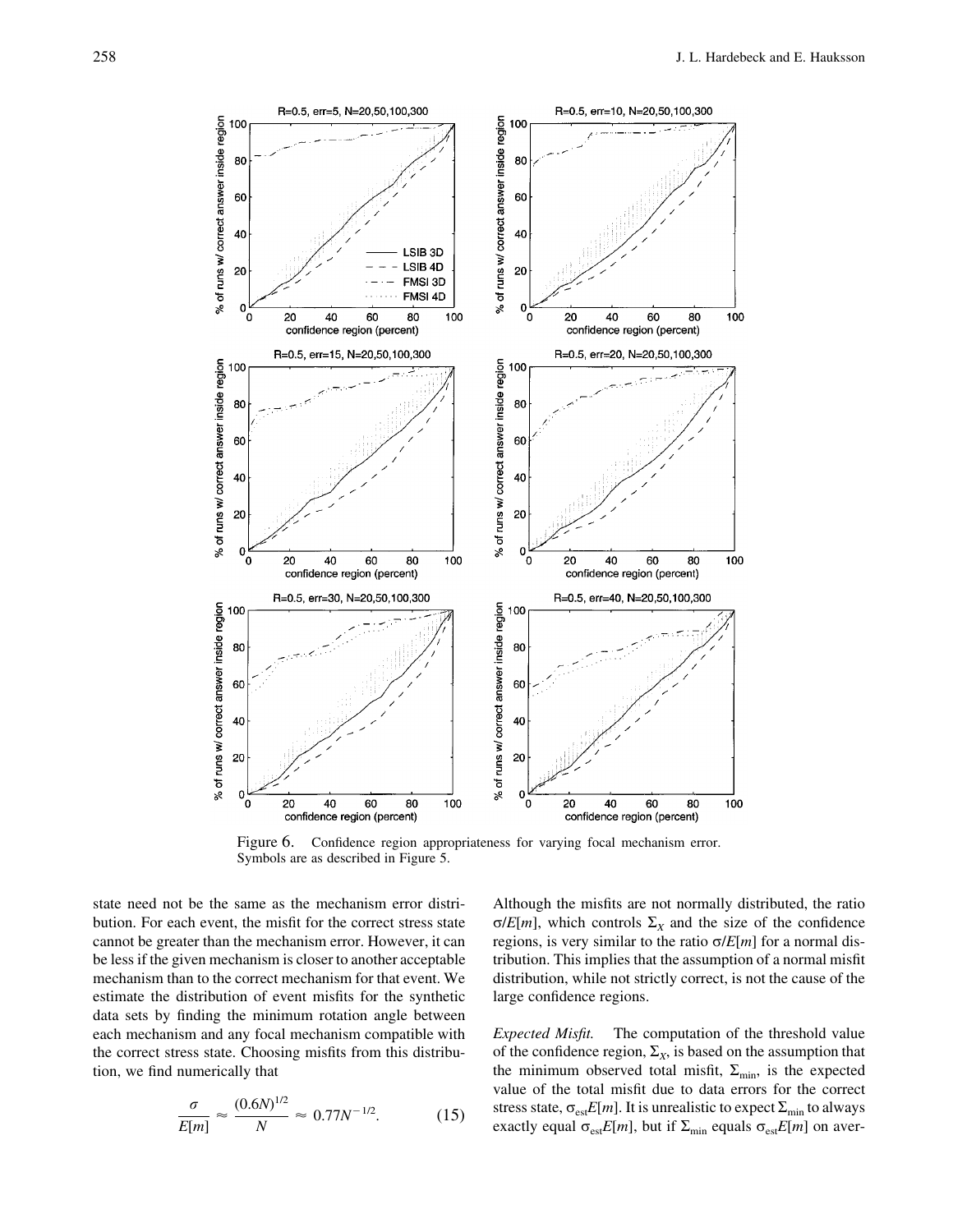

Figure 6. Confidence region appropriateness for varying focal mechanism error. Symbols are as described in Figure 5.

state need not be the same as the mechanism error distribution. For each event, the misfit for the correct stress state cannot be greater than the mechanism error. However, it can be less if the given mechanism is closer to another acceptable mechanism than to the correct mechanism for that event. We estimate the distribution of event misfits for the synthetic data sets by finding the minimum rotation angle between each mechanism and any focal mechanism compatible with the correct stress state. Choosing misfits from this distribution, we find numerically that

$$
\frac{\sigma}{E[m]} \approx \frac{(0.6N)^{1/2}}{N} \approx 0.77N^{-1/2}.
$$
 (15)

Although the misfits are not normally distributed, the ratio  $\sigma/E[m]$ , which controls  $\Sigma_X$  and the size of the confidence regions, is very similar to the ratio  $\sigma/E[m]$  for a normal distribution. This implies that the assumption of a normal misfit distribution, while not strictly correct, is not the cause of the large confidence regions.

*Expected Misfit.* The computation of the threshold value of the confidence region,  $\Sigma_X$ , is based on the assumption that the minimum observed total misfit,  $\Sigma_{\text{min}}$ , is the expected value of the total misfit due to data errors for the correct stress state,  $\sigma_{est}E[m]$ . It is unrealistic to expect  $\Sigma_{min}$  to always exactly equal  $\sigma_{est}E[m]$ , but if  $\Sigma_{min}$  equals  $\sigma_{est}E[m]$  on aver-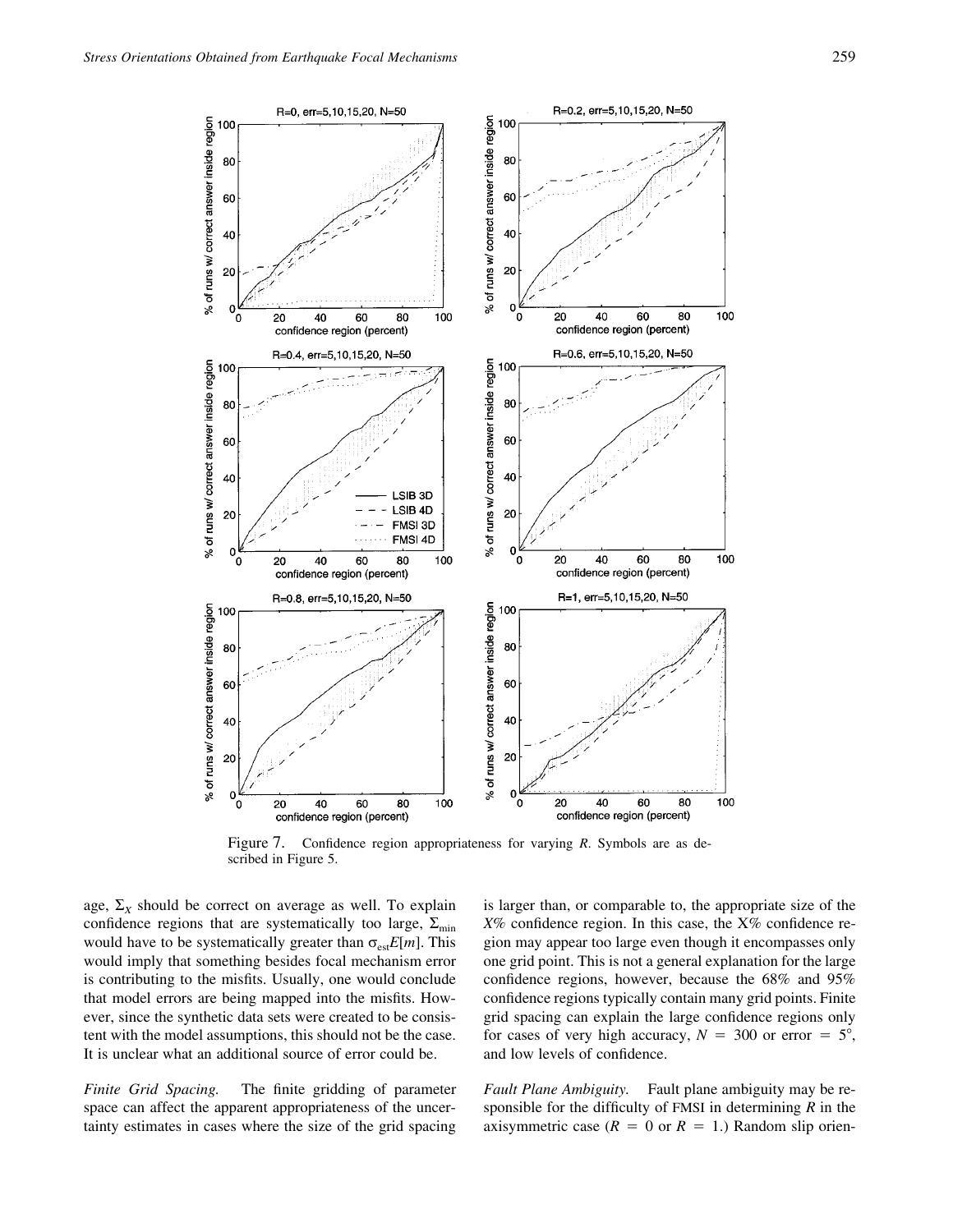

Figure 7. Confidence region appropriateness for varying *R*. Symbols are as described in Figure 5.

age,  $\Sigma_X$  should be correct on average as well. To explain confidence regions that are systematically too large,  $\Sigma_{\text{min}}$ would have to be systematically greater than  $\sigma_{est}E[m]$ . This would imply that something besides focal mechanism error is contributing to the misfits. Usually, one would conclude that model errors are being mapped into the misfits. However, since the synthetic data sets were created to be consistent with the model assumptions, this should not be the case. It is unclear what an additional source of error could be.

*Finite Grid Spacing.* The finite gridding of parameter space can affect the apparent appropriateness of the uncertainty estimates in cases where the size of the grid spacing is larger than, or comparable to, the appropriate size of the *X*% confidence region. In this case, the X% confidence region may appear too large even though it encompasses only one grid point. This is not a general explanation for the large confidence regions, however, because the 68% and 95% confidence regions typically contain many grid points. Finite grid spacing can explain the large confidence regions only for cases of very high accuracy,  $N = 300$  or error  $= 5^{\circ}$ , and low levels of confidence.

*Fault Plane Ambiguity.* Fault plane ambiguity may be responsible for the difficulty of FMSI in determining *R* in the axisymmetric case ( $R = 0$  or  $R = 1$ .) Random slip orien-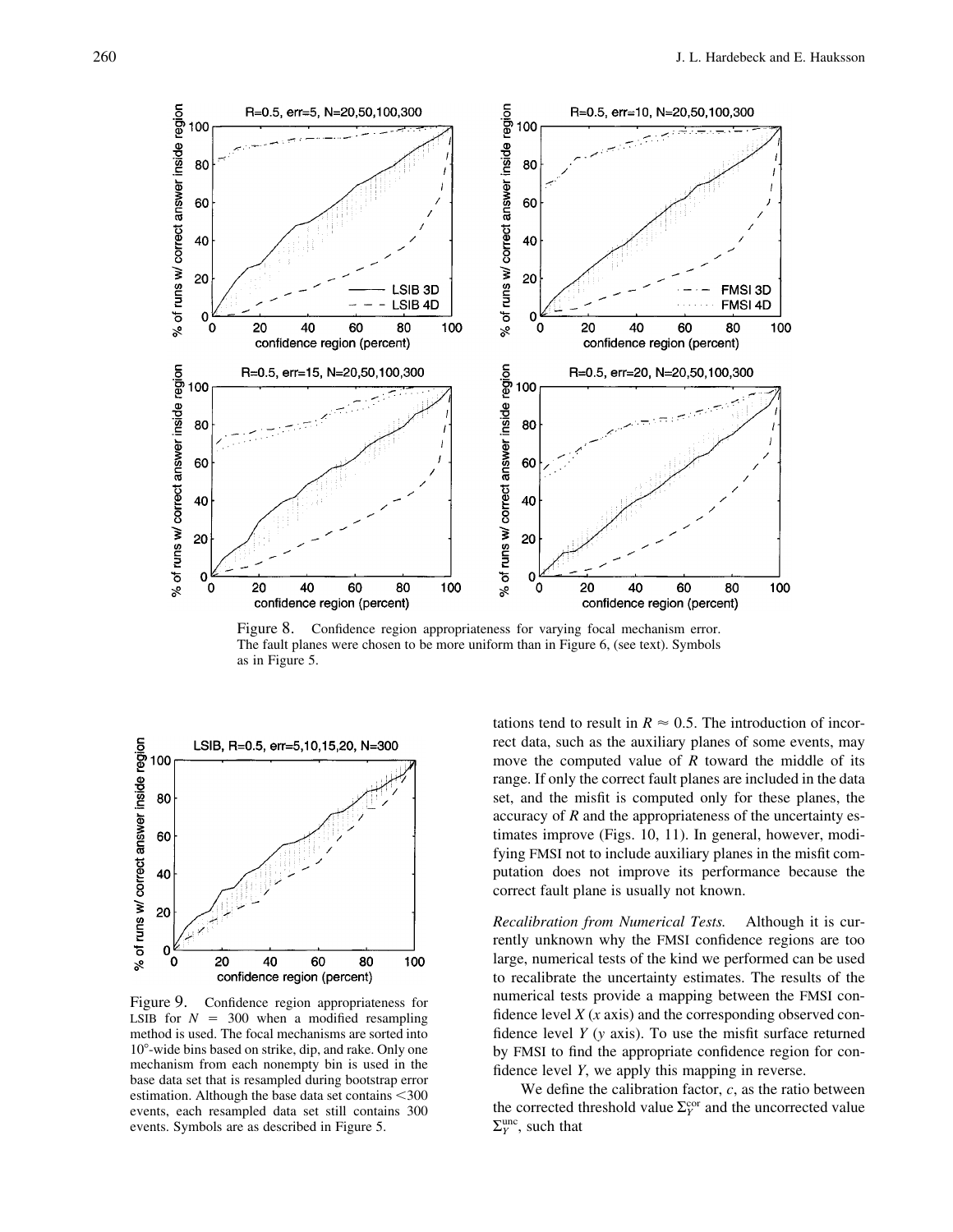

Figure 8. Confidence region appropriateness for varying focal mechanism error. The fault planes were chosen to be more uniform than in Figure 6, (see text). Symbols as in Figure 5.



Figure 9. Confidence region appropriateness for LSIB for  $N = 300$  when a modified resampling method is used. The focal mechanisms are sorted into  $10^{\circ}$ -wide bins based on strike, dip, and rake. Only one mechanism from each nonempty bin is used in the base data set that is resampled during bootstrap error estimation. Although the base data set contains  $<$  300 events, each resampled data set still contains 300 events. Symbols are as described in Figure 5.

tations tend to result in  $R \approx 0.5$ . The introduction of incorrect data, such as the auxiliary planes of some events, may move the computed value of *R* toward the middle of its range. If only the correct fault planes are included in the data set, and the misfit is computed only for these planes, the accuracy of *R* and the appropriateness of the uncertainty estimates improve (Figs. 10, 11). In general, however, modifying FMSI not to include auxiliary planes in the misfit computation does not improve its performance because the correct fault plane is usually not known.

*Recalibration from Numerical Tests.* Although it is currently unknown why the FMSI confidence regions are too large, numerical tests of the kind we performed can be used to recalibrate the uncertainty estimates. The results of the numerical tests provide a mapping between the FMSI confidence level *X* (*x* axis) and the corresponding observed confidence level *Y* (*y* axis). To use the misfit surface returned by FMSI to find the appropriate confidence region for confidence level *Y*, we apply this mapping in reverse.

We define the calibration factor, *c*, as the ratio between the corrected threshold value  $\Sigma_Y^{\text{cor}}$  and the uncorrected value  $\Sigma_Y^{\text{unc}}$ , such that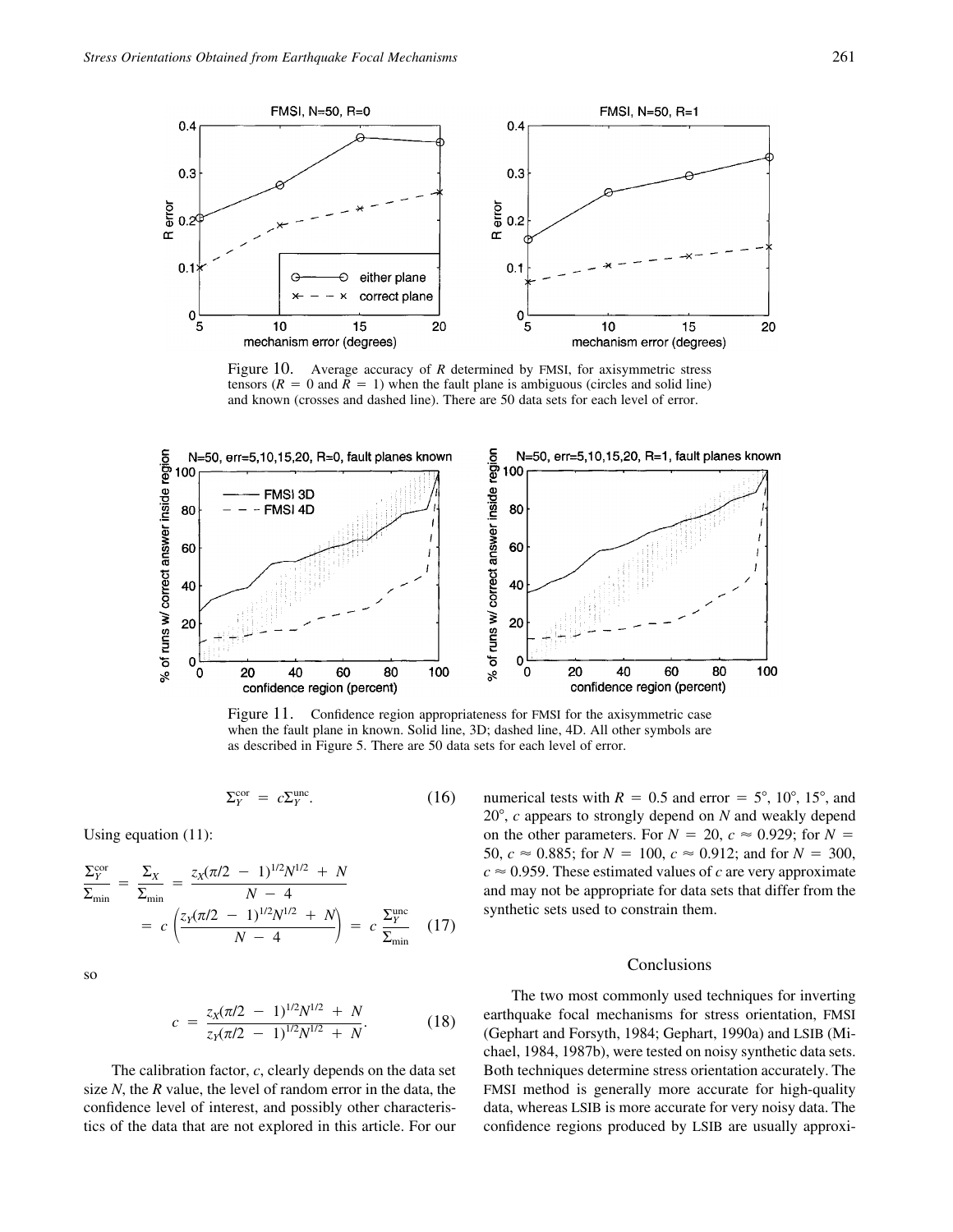

Figure 10. Average accuracy of *R* determined by FMSI, for axisymmetric stress tensors  $(R = 0$  and  $R = 1)$  when the fault plane is ambiguous (circles and solid line) and known (crosses and dashed line). There are 50 data sets for each level of error.



Figure 11. Confidence region appropriateness for FMSI for the axisymmetric case when the fault plane in known. Solid line, 3D; dashed line, 4D. All other symbols are as described in Figure 5. There are 50 data sets for each level of error.

$$
\Sigma_Y^{\text{cor}} = c\Sigma_Y^{\text{unc}}.\tag{16}
$$

Using equation (11):

$$
\frac{\Sigma_Y^{\text{cor}}}{\Sigma_{\text{min}}} = \frac{\Sigma_X}{\Sigma_{\text{min}}} = \frac{z_X (\pi/2 - 1)^{1/2} N^{1/2} + N}{N - 4}
$$
\n
$$
= c \left( \frac{z_Y (\pi/2 - 1)^{1/2} N^{1/2} + N}{N - 4} \right) = c \frac{\Sigma_Y^{\text{unc}}}{\Sigma_{\text{min}}} \quad (17)
$$

so

$$
c = \frac{z_X(\pi/2 - 1)^{1/2} N^{1/2} + N}{z_Y(\pi/2 - 1)^{1/2} N^{1/2} + N}.
$$
 (18)

The calibration factor, *c*, clearly depends on the data set size *N*, the *R* value, the level of random error in the data, the confidence level of interest, and possibly other characteristics of the data that are not explored in this article. For our

numerical tests with  $R = 0.5$  and error  $= 5^{\circ}, 10^{\circ}, 15^{\circ}$ , and 20, *c* appears to strongly depend on *N* and weakly depend on the other parameters. For  $N = 20$ ,  $c \approx 0.929$ ; for  $N =$ 50,  $c \approx 0.885$ ; for  $N = 100$ ,  $c \approx 0.912$ ; and for  $N = 300$ ,  $c \approx 0.959$ . These estimated values of *c* are very approximate and may not be appropriate for data sets that differ from the synthetic sets used to constrain them.

## Conclusions

The two most commonly used techniques for inverting earthquake focal mechanisms for stress orientation, FMSI (Gephart and Forsyth, 1984; Gephart, 1990a) and LSIB (Michael, 1984, 1987b), were tested on noisy synthetic data sets. Both techniques determine stress orientation accurately. The FMSI method is generally more accurate for high-quality data, whereas LSIB is more accurate for very noisy data. The confidence regions produced by LSIB are usually approxi